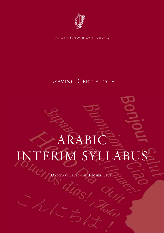

AN ROINN OIDEACHAIS AGUS EOLAÍOCHTA

## LEAVING CERTIFICATE

# ARABIC INTERIM SYLLABUS (ORDINARY LEVEL AND HIGHER LEVEL)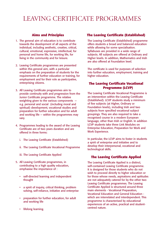## LEAVING CERTIFICATE PROGRAMMES

#### **Aims and Principles**

- 1. The general aim of education is to contribute towards the development of all aspects of the individual, including aesthetic, creative, critical, cultural, emotional, expressive, intellectual, for personal and home life, for working life, for living in the community and for leisure.
- 2. Leaving Certificate programmes are presented within this general aim, with a particular emphasis on the preparation of students for the requirements of further education or training, for employment and for their role as participative, enterprising citizens.
- 3. All Leaving Certificate programmes aim to provide continuity with and progression from the Junior Certificate programme. The relative weighting given to the various components e.g. personal and social (including moral and spiritual) development, vocational studies and preparation for further education and for adult and working life — within the programmes may vary.
- 4. Programmes leading to the award of the Leaving Certificate are of two years duration and are offered in three forms:
	- i. The Leaving Certificate (Established)
	- ii. The Leaving Certificate Vocational Programme
	- iii. The Leaving Certificate Applied
- 5. All Leaving Certificate programmes, in contributing to a high quality education, emphasise the importance of :
	- self-directed learning and independent thought
	- a spirit of inquiry, critical thinking, problem solving, self-reliance, initiative and enterprise
	- preparation for further education, for adult and working life
	- lifelong learning.

#### **The Leaving Certificate (Established)**

The Leaving Certificate (Established) programme offers students a broad and balanced education while allowing for some specialisation. Syllabuses are provided in a wide range of subjects. All subjects are offered at Ordinary and Higher levels. In addition, Mathematics and Irish are also offered at Foundation level.

The certificate is used for purposes of selection into further education, employment, training and higher education.

#### **The Leaving Certificate Vocational Programme (LCVP)**

The Leaving Certificate Vocational Programme is an intervention within the Leaving Certificate (Established). LCVP students study a minimum of five subjects (at Higher, Ordinary or Foundation levels), including Irish and two subjects from specified vocational subject groupings. They are also required to take a recognised course in a modern European language, other than Irish or English. In addition LCVP students take three Link Modules on Enterprise Education, Preparation for Work and Work Experience.

In particular, the LCVP aims to foster in students a spirit of enterprise and initiative and to develop their interpersonal, vocational and technological skills.

#### **The Leaving Certificate Applied**

The Leaving Certificate Applied is a distinct, self-contained Leaving Certificate programme. It is designed for those students who do not wish to proceed directly to higher education or for those whose needs, aspirations and aptitudes are not adequately catered for by the other two Leaving Certificate programmes. The Leaving Certificate Applied is structured around three main elements - Vocational Preparation, Vocational Education and General Education which are interrelated and interdependent. This programme is characterised by educational experiences of an active, practical and studentcentred nature.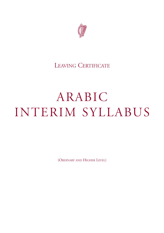

## LEAVING CERTIFICATE

## ARABIC INTERIM SYLLABUS

(ORDINARY AND HIGHER LEVEL)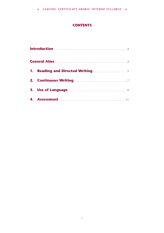#### **CONTENTS**

|  | <b>1. Reading and Directed Writing </b> |  |
|--|-----------------------------------------|--|
|  |                                         |  |
|  |                                         |  |
|  |                                         |  |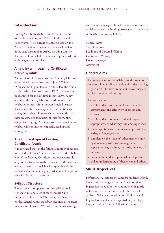#### <span id="page-6-0"></span>**Introduction**

Leaving Certificate Arabic was offered in Ireland for the first time in June 1997, at Ordinary and Higher levels. The current syllabus is based on the Arabic curriculum taught at secondary school level in the state system of an Arabic-speaking country. The curriculum includes a number of prescribed texts, both religious and secular.

#### **A new interim Leaving Certificate Arabic syllabus**

A new interim Leaving Certificate Arabic syllabus will be examined for the first time in June 2004 at Ordinary and Higher levels. It will replace the Arabic syllabus which has existed since 1997, and which is to be examined for the last time in June 2003. A key feature of the new syllabus is the addition to the syllabus of set texts from modern Arabic literature. This reflects the increasing variety in the students taking the subject. However, since the majority of these are expected to remain, at least for the time being, first language Arabic speakers, the new interim syllabus will continue to emphasise reading and writing skills.

#### **The future shape of Leaving Certificate Arabic**

It is envisaged that, in the future, a number of schools in Ireland will teach Arabic ab initio up to the Higher level of the Leaving Certificate, and not necessarily only to first language Arabic speakers. In this context, it is envisaged that a syllabus incorporating all the elements of a modern language syllabus will be put in place for Arabic in due course.

#### **Syllabus Structure**

The two main components of the syllabus are its General Aims and a set of more specific Skills Objectives. These Skills Objectives, which are based on the General Aims, are subdivided into three areas: Reading and Directed Writing; Continuous Writing;

and Use of Language. The scheme of assessment is explained under the heading Assessment. The syllabus is, therefore, set out as follows:

General Aims Skills Objectives Reading and Directed Writing Continuous Writing Use of Language Assessment

#### **General Aims**

The general aims of the syllabus are the same for students taking Ordinary level, and students taking Higher level. The aims are set out below; they are not listed in order of priority.

#### The aims are to

- 1. enable students to communicate accurately, appropriately and effectively in speech and writing
- 2. enable students to understand and respond appropriately to what they read and experience
- 3. encourage students to enjoy and appreciate the variety of language style
- 4. complement the students' other areas of study by developing skills with more general application (e.g. analysis, synthesis, drawing of inferences)
- 5. promote the students' personal development, and an understanding of themselves and others.

#### **Skills Objectives**

Performance targets are the same for students at both levels of the Leaving Certificate. Students taking Higher level should possess a number of linguistic skills which are not expected of Ordinary level students. What is expected at both Ordinary and Higher levels, and what is expected only at Higher level, are indicated in the following sections.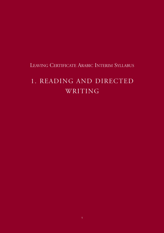## <span id="page-8-0"></span>1. READING AND DIRECTED WRITING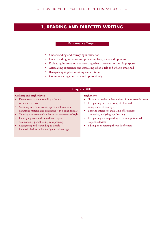LEAVING CERTIFICATE ARABIC INTERIM SYLLABUS

#### **1. READING AND DIRECTED WRITING**

#### Performance Targets

- Understanding and conveying information
- Understanding, ordering and presenting facts, ideas and opinions
- Evaluating information and selecting what is relevant to specific purposes
- Articulating experience and expressing what is felt and what is imagined
- Recognising implicit meaning and attitudes
- Communicating effectively and appropriately

#### **Linguistic Skills**

#### **Ordinary and Higher levels**

- Demonstrating understanding of words within short texts
- Scanning for and extracting specific information, organising material and presenting it in a given format
- Showing some sense of audience and awareness of style
- Identifying main and subordinate topics, summarising, paraphrasing, re-expressing
- Recognising and responding to simple linguistic devices including figurative language

#### **Higher level**

- Showing a precise understanding of more extended texts
- Recognising the relationship of ideas and arrangement of concepts
- Drawing inferences, evaluating effectiveness, comparing, analysing, synthesising
- Recognising and responding to more sophisticated linguistic devices
- Editing or elaborating the work of others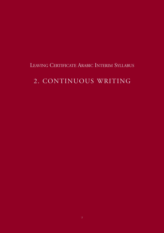## <span id="page-10-0"></span>2. CONTINUOUS WRITING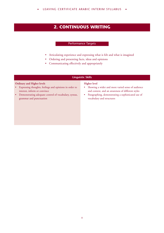• LEAVING CERTIFICATE ARABIC INTERIM SYLLABUS .

#### **2. CONTINUOUS WRITING**

#### Performance Targets

- Articulating experience and expressing what is felt and what is imagined
- Ordering and presenting facts, ideas and opinions
- Communicating effectively and appropriately

#### **Linguistic Skills**

#### **Ordinary and Higher levels**

- Expressing thoughts, feelings and opinions in order to interest, inform or convince
- Demonstrating adequate control of vocabulary, syntax, grammar and punctuation

#### **Higher level**

- Showing a wider and more varied sense of audience and context, and an awareness of different styles
- Paragraphing, demonstrating a sophisticated use of vocabulary and structures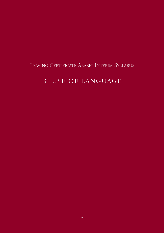## <span id="page-12-0"></span>3. USE OF LANGUAGE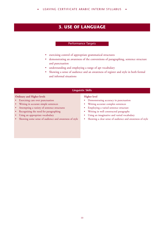#### **3. USE OF LANGUAGE**

#### Performance Targets

- exercising control of appropriate grammatical structures
- demonstrating an awareness of the conventions of paragraphing, sentence structure and punctuation
- understanding and employing a range of apt vocabulary
- Showing a sense of audience and an awareness of register and style in both formal and informal situations

#### **Linguistic Skills**

#### **Ordinary and Higher levels**

- Exercising care over punctuation
- Writing in accurate simple sentences
- Attempting a variety of sentence structures
- Recognising the need for paragraphing
- Using an appropriate vocabulary
- Showing some sense of audience and awareness of style

#### **Higher level**

- Demonstrating accuracy in punctuation
- Writing accurate complex sentences
- Employing a varied sentence structure
- Writing in well constructed paragraphs
- Using an imaginative and varied vocabulary
- Showing a clear sense of audience and awareness of style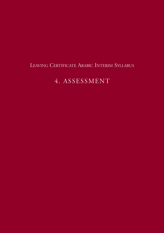## <span id="page-14-0"></span>4. ASSESSMENT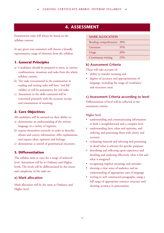#### **4. ASSESSMENT**

Examination tasks will always be based on the syllabus content.

In any given year examiners will choose a broadly representative range of elements from the syllabus.

#### **1. General Principles**

- a) Candidates should be prepared to meet, in various combinations, situations and tasks from the whole syllabus content.
- b) The tasks encountered in the examination in reading and writing tasks will have "real life" validity or will be preparatory for real tasks.
- c) Assessment in the skills examined will be concerned primarily with the accurate receipt and transmission of meaning.

#### **2. Core Objectives**

All candidates will be assessed on their ability to:

- a) demonstrate an understanding of the written language in a variety of registers;
- b) express themselves correctly in order to describe, obtain and convey information, offer explanations, and express ideas, opinions and feelings;
- c) demonstrate a control of grammatical structures.

#### **3. Differentiation**

The syllabus aims to cater for a range of achieved level. Assessment will be at Ordinary and Higher levels. The levels will be differentiated by the extent and complexity of the tasks set.

#### **a) Mark allocation**

Mark allocation will be the same at Ordinary and Higher level.

#### **MARK ALLOCATION**

| Reading comprehension 20% |     |
|---------------------------|-----|
| Literature                | 35% |
| Usage                     | 20% |
| Continuous writing        | 25% |

#### **b) Assessment Criteria**

These will take account of:

- ability to transfer meaning and
- degrees of accuracy and appropriateness of language, including the range of vocabulary and structures used.

#### **c) Assessment Criteria according to level**

Differentiation of level will be reflected in the assessment criteria:

#### **Higher level**

- understanding and communicating information at both a straightforward and a complex level
- understanding facts, ideas and opinions, and ordering and presenting them with clarity and accuracy
- evaluating material and selecting and presenting in detail what is relevant for specific purposes
- describing and reflecting upon experience and detailing and analysing effectively what is felt and what is imagined
- recognizing implicit meanings and attitudes
- showing a clear sense of audience and an understanding of appropriate uses of language
- writing in well constructed paragraphs, using a full range of appropriate sentence structure and showing accuracy in punctuation.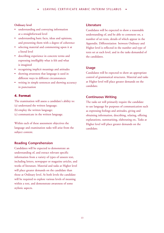#### **Ordinary level**

- understanding and conveying information at a straightforward level
- understanding basic facts, ideas and opinions, and presenting them with a degree of coherence
- selecting material and commenting upon it at a literal level
- describing experience in concrete terms and expressing intelligibly what is felt and what is imagined
- recognising implicit meanings and attitudes
- showing awareness that language is used in different ways in different circumstances
- writing in simple sentences and showing accuracy in punctuation

#### **4. Format**

The examination will assess a candidate's ability to: (a) understand the written language;

- (b) employ the written language;
- (c) communicate in the written language.

Within each of these assessment objectives the language and examination tasks will arise from the subject content.

#### **Reading Comprehension**

Candidates will be expected to demonstrate an understanding of, and extract relevant specific information from a variety of types of unseen text, including letters, newspaper or magazine articles, and works of literature. Material and tasks at Higher level will place greater demands on the candidate than those at Ordinary level. At both levels the candidate will be required to explore various levels of meaning within a text, and demonstrate awareness of some stylistic aspects.

#### **Literature**

Candidates will be expected to show a reasonable understanding of, and be able to comment on, a number of set texts, details of which appear in the Appendix. Differentiation between Ordinary and Higher level is reflected in the number and type of texts set at each level, and in the tasks demanded of the candidates.

#### **Usage**

Candidates will be expected to show an appropriate control of grammatical structures. Material and tasks at Higher level will place greater demands on the candidate.

#### **Continuous Writing**

The tasks set will primarily require the candidate to use language for purposes of communication such as expressing feelings and attitudes, giving and obtaining information, describing, relating, offering explanations, summarising, elaborating etc. Tasks at Higher level will place greater demands on the candidate.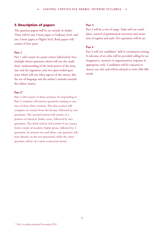#### **5. Description of papers**

The question papers will be set entirely in Arabic. There will be one 3 hour paper at Ordinary level, and one 3 hour paper at Higher level. Both papers will consist of four parts.

#### **Part 1**

Part 1 will consist of a prose extract followed by four multiple-choice questions which will test the candidates' understanding of the main points of the structure and the argument, and two open-ended questions which will test other aspects of the extract, like the use of language and the author's attitude towards the subject matter.

#### **Part 2\***

Part 2 will consist of three sections. In responding to Part 2, students will answer questions relating to any two of these three sections. The first section will comprise an extract from the Koran, followed by two questions. The second section will consist of a portion of classical Arabic verse, followed by two questions. The third section will consist of an extract from a work of modern Arabic prose, followed by 2 questions. In section two and three, one question will bear directly on the text presented, while the other question will be of a more contextual nature.

#### **Part 3**

Part 3 will be a test of usage. Tasks will test candidates' control of grammatical structures and awareness of register and style. Five questions will be set.

#### **Part 4**

Part 4 will test candidates' skill in continuous writing. A selection of six titles will be provided calling for an imaginative, narrative or argumentative response in appropriate style. Candidates will be required to choose one title and will be advised to write 300-400 words.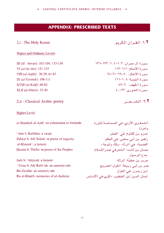#### **APPENDIX: PRESCRIBED TEXTS**

#### 2,i : The Holy Koran

#### ١،<mark>٢</mark> القرآن الكريم

#### **Higher and Ordinary Levels:**

III (Al *Imrān*): 103-104; 133-136 VI (al-An'ām): 151-153 VIII (al-Anfāl): 20-29; 61-67 IX (al-Tawbah): 108-111  $XVIII$  (al- $Kahf$ ): 60-82 XLII (al-Shūrā): 33-40

2, ii : Classical Arabic poetry

#### Higher Level:

al-Shanfarã al-Azdī: an exhortation to fortitude

'Amr b. Kulthūm: a vaunt Zuhayr b. Abī Sulmā: in praise of sagacity al-Khansā<sup>3</sup>: a lament Hassan b. Thabit: in praise of the Prophet

Jarir b. 'Atiyyah: a lament 'Umar b. Abī Rabī'ah: an amatory ode Ibn Zaydūn: an amatory ode Ibn al-Khatīb: memories of al-Andalus

 $NT1 - 177$  (1,  $\xi - 1, T$ ) :  $\frac{1}{2}$  and  $\frac{1}{2}$  and  $\frac{1}{2}$ سورة الأنعام: ١٥١-١٥٣  $TV-T \setminus Y - Y - Y$ . الأنفال: - ٢-٢٩ سبور ق التوبية: ١١٨٨-١١١ سورة الكهف: ٢٠-٨٢ سورة الشورى: ٣٣-٤٠

٢،٢: الشــعــر

الشنفرى الأزدي: في الحـمـاسـة (ثورة وتمرٌد) .<br>عمرو بن كلثوم: قي الفخر زهير بن أبى سلمىّ: فى الحكم الخنساء: في الرثاء «بكاء ولوعة» حسان بن ثاّبت: الشعرفي صدرالإسلام مدح الرسول جرير بن عطيّة: الرثاء عمر بن أبي ربيعة: الغزل الصريح ابن زيدون: في الغزل لسان الدين ابن الخطيب: ذكرى في الأندلس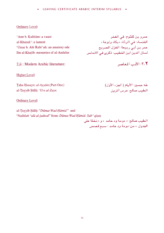#### **Ordinary Level:**

'Amr b. Kulthūm: a vaunt al-Khansā': a lament 'Umar b. Abī Rabī'ah: an amatory ode Ibn al-Khatīb: memories of al-Andalus

عمرو بن كلثوم: قي الفخر الخنساء: في الرثاء <sup>"</sup> «بكاء ولوعة » عمر بن أب*ي* ربيعة: الغزل الصريح لسان الدين ابن الخطيب: ذكرى في الاندلس

2, ii: Modern Arabic literature:

**Higher Level:** 

Taha Husayn: al-Ayyām (Part One) al-Tayyib Sālih: Urs al-Zayn

طه حسين: الأيام ( الجزء الأول) الطيب صالح: *عرس الزين* 

٢،٢: الأدب المعاصر

**Ordinary Level:** 

al-Tayyib Sālih: "Dūmat Wad Hāmid" and "Nakhlah 'alā al-jadwal" from: Dūmat Wad Hāmid: Sab 'qiṣaṣ الطيب صالح: « دومة ود حامد » و «نخلة على

الجدول » من: دومة ود حامد : سبع قصص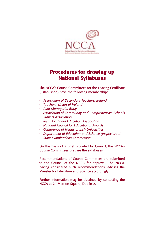

## **Procedures for drawing up National Syllabuses**

The NCCA's Course Committees for the Leaving Certificate (Established) have the following membership:

- *• Association of Secondary Teachers, Ireland*
- *Teachers' Union of Ireland*
- *• Joint Managerial Body*
- *• Association of Community and Comprehensive Schools*
- *• Subject Association*
- *• Irish Vocational Education Association*
- *• National Council for Educational Awards*
- *• Conference of Heads of Irish Universities*
- *• Department of Education and Science (Inspectorate)*
- *• State Examinations Commission.*

On the basis of a brief provided by Council, the NCCA's Course Committees prepare the syllabuses.

Recommendations of Course Committees are submitted to the Council of the NCCA for approval. The NCCA, having considered such recommendations, advises the Minister for Education and Science accordingly.

Further information may be obtained by contacting the NCCA at 24 Merrion Square, Dublin 2.